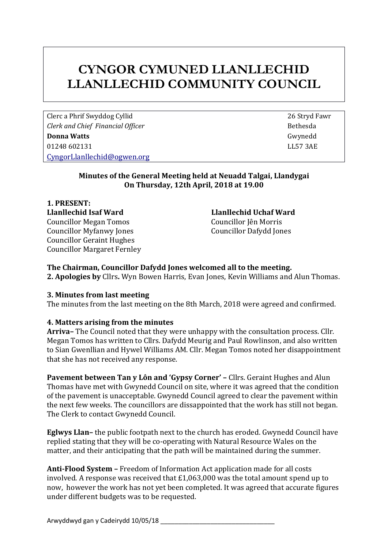# **CYNGOR CYMUNED LLANLLECHID LLANLLECHID COMMUNITY COUNCIL**

Clerc a Phrif Swyddog Cyllid 26 Stryd Fawr *Clerk and Chief Financial Officer* **Bethesda Bethesda Donna Watts** Gwynedd 01248 602131 LL57 3AE [CyngorLlanllechid@ogwen.org](mailto:CyngorLlanllechid@ogwen.org)

## **Minutes of the General Meeting held at Neuadd Talgai, Llandygai On Thursday, 12th April, 2018 at 19.00**

**1. PRESENT: Llanllechid Isaf Ward Llanllechid Uchaf Ward** Councillor Megan Tomos Councillor Jên Morris Councillor Myfanwy Jones Councillor Dafydd Jones Councillor Geraint Hughes Councillor Margaret Fernley

## **The Chairman, Councillor Dafydd Jones welcomed all to the meeting.**

**2. Apologies by** Cllrs**.** Wyn Bowen Harris, Evan Jones, Kevin Williams and Alun Thomas.

#### **3. Minutes from last meeting**

The minutes from the last meeting on the 8th March, 2018 were agreed and confirmed.

## **4. Matters arising from the minutes**

**Arriva–** The Council noted that they were unhappy with the consultation process. Cllr. Megan Tomos has written to Cllrs. Dafydd Meurig and Paul Rowlinson, and also written to Sian Gwenllian and Hywel Williams AM. Cllr. Megan Tomos noted her disappointment that she has not received any response.

**Pavement between Tan y Lôn and 'Gypsy Corner' –** Cllrs. Geraint Hughes and Alun Thomas have met with Gwynedd Council on site, where it was agreed that the condition of the pavement is unacceptable. Gwynedd Council agreed to clear the pavement within the next few weeks. The councillors are dissappointed that the work has still not began. The Clerk to contact Gwynedd Council.

**Eglwys Llan–** the public footpath next to the church has eroded. Gwynedd Council have replied stating that they will be co-operating with Natural Resource Wales on the matter, and their anticipating that the path will be maintained during the summer.

**Anti-Flood System –** Freedom of Information Act application made for all costs involved. A response was received that £1,063,000 was the total amount spend up to now, however the work has not yet been completed. It was agreed that accurate figures under different budgets was to be requested.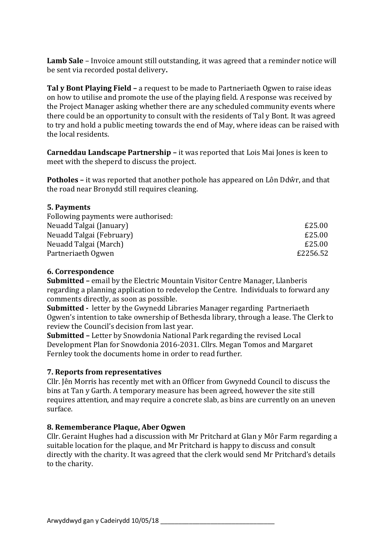**Lamb Sale** – Invoice amount still outstanding, it was agreed that a reminder notice will be sent via recorded postal delivery**.**

**Tal y Bont Playing Field –** a request to be made to Partneriaeth Ogwen to raise ideas on how to utilise and promote the use of the playing field. A response was received by the Project Manager asking whether there are any scheduled community events where there could be an opportunity to consult with the residents of Tal y Bont. It was agreed to try and hold a public meeting towards the end of May, where ideas can be raised with the local residents.

**Carneddau Landscape Partnership –** it was reported that Lois Mai Jones is keen to meet with the sheperd to discuss the project.

**Potholes –** it was reported that another pothole has appeared on Lôn Ddŵr, and that the road near Bronydd still requires cleaning.

## **5. Payments**

| Following payments were authorised: |          |
|-------------------------------------|----------|
| Neuadd Talgai (January)             | £25.00   |
| Neuadd Talgai (February)            | £25.00   |
| Neuadd Talgai (March)               | £25.00   |
| Partneriaeth Ogwen                  | £2256.52 |

### **6. Correspondence**

**Submitted –** email by the Electric Mountain Visitor Centre Manager, Llanberis regarding a planning application to redevelop the Centre. Individuals to forward any comments directly, as soon as possible.

**Submitted -** letter by the Gwynedd Libraries Manager regarding Partneriaeth Ogwen's intention to take ownership of Bethesda library, through a lease. The Clerk to review the Council's decision from last year.

**Submitted –** Letter by Snowdonia National Park regarding the revised Local Development Plan for Snowdonia 2016-2031. Cllrs. Megan Tomos and Margaret Fernley took the documents home in order to read further.

## **7. Reports from representatives**

Cllr. Jên Morris has recently met with an Officer from Gwynedd Council to discuss the bins at Tan y Garth. A temporary measure has been agreed, however the site still requires attention, and may require a concrete slab, as bins are currently on an uneven surface.

## **8. Rememberance Plaque, Aber Ogwen**

Cllr. Geraint Hughes had a discussion with Mr Pritchard at Glan y Môr Farm regarding a suitable location for the plaque, and Mr Pritchard is happy to discuss and consult directly with the charity. It was agreed that the clerk would send Mr Pritchard's details to the charity.